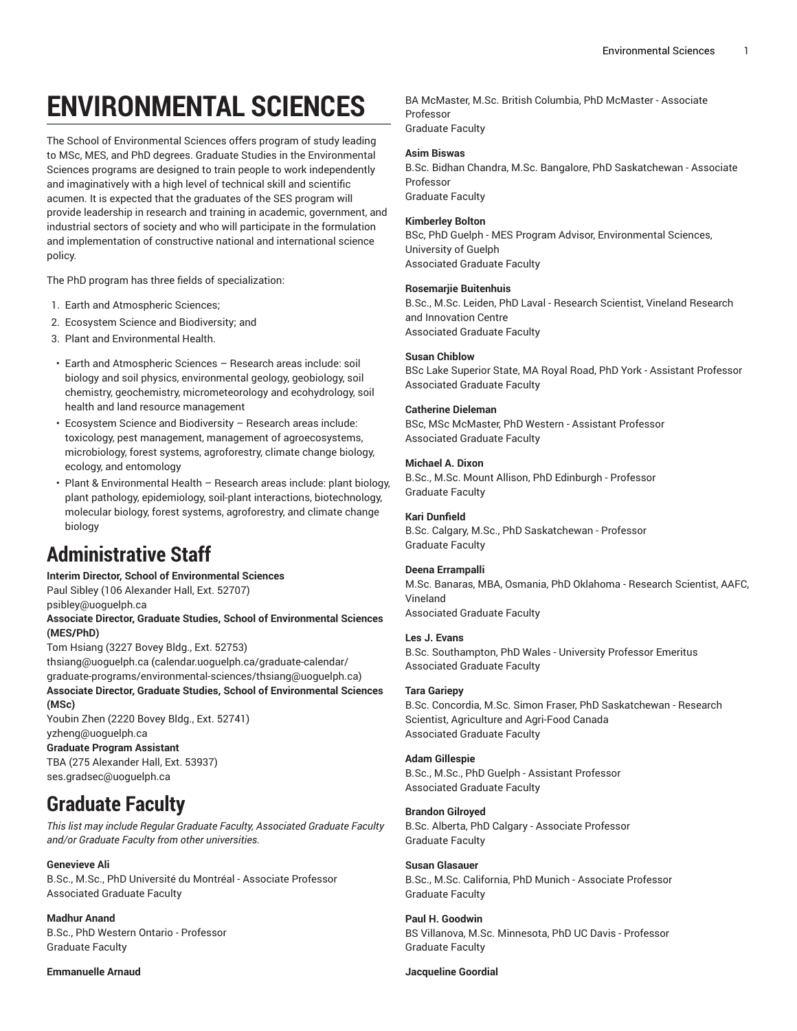# **ENVIRONMENTAL SCIENCES**

The School of Environmental Sciences offers program of study leading to MSc, MES, and PhD degrees. Graduate Studies in the Environmental Sciences programs are designed to train people to work independently and imaginatively with a high level of technical skill and scientific acumen. It is expected that the graduates of the SES program will provide leadership in research and training in academic, government, and industrial sectors of society and who will participate in the formulation and implementation of constructive national and international science policy.

The PhD program has three fields of specialization:

- 1. Earth and Atmospheric Sciences;
- 2. Ecosystem Science and Biodiversity; and
- 3. Plant and Environmental Health.
- Earth and Atmospheric Sciences Research areas include: soil biology and soil physics, environmental geology, geobiology, soil chemistry, geochemistry, micrometeorology and ecohydrology, soil health and land resource management
- Ecosystem Science and Biodiversity Research areas include: toxicology, pest management, management of agroecosystems, microbiology, forest systems, agroforestry, climate change biology, ecology, and entomology
- Plant & Environmental Health Research areas include: plant biology, plant pathology, epidemiology, soil-plant interactions, biotechnology, molecular biology, forest systems, agroforestry, and climate change biology

## **Administrative Staff**

#### **Interim Director, School of Environmental Sciences**

Paul Sibley (106 Alexander Hall, Ext. 52707)

[psibley@uoguelph.ca](hY��|�+�zN��
� �
�=R
r�)

### **Associate Director, Graduate Studies, School of Environmental Sciences (MES/PhD)**

Tom Hsiang (3227 Bovey Bldg., Ext. 52753)

[\\_
s�А�چ��r�1M��W�����Y���|�}��{�s?`\\$} ?���z-^�`��'>thsiang@uoguelph.ca](����ؐ˅�dJ) [\\_
s�А�چ��r�1M��W�����Y���|�}��{�s?`\\$} ?���z-^�`��'>\(calendar.uoguelph.ca/graduate-calendar/](����ؐ˅�dJ) [\\_
s�А�چ��r�1M��W�����Y���|�}��{�s?`\\$} ?���z-^�`��'>graduate-programs/environmental-sciences/thsiang@uoguelph.ca](����ؐ˅�dJ)) **Associate Director, Graduate Studies, School of Environmental Sciences (MSc)**

Youbin Zhen (2220 Bovey Bldg., Ext. 52741) [yzheng@uoguelph.ca](I�0 .^Z�ý��}a���Z��N{Q()

**Graduate Program Assistant** TBA (275 Alexander Hall, Ext. 53937) [ses.gradsec@uoguelph.ca](KweoZB��΁�E
�1�<I�~9l5@�{�q)

## **Graduate Faculty**

*This list may include Regular Graduate Faculty, Associated Graduate Faculty and/or Graduate Faculty from other universities.*

### **Genevieve Ali**

B.Sc., M.Sc., PhD Université du Montréal - Associate Professor Associated Graduate Faculty

### **Madhur Anand**

B.Sc., PhD Western Ontario - Professor Graduate Faculty

### **Emmanuelle Arnaud**

BA McMaster, M.Sc. British Columbia, PhD McMaster - Associate Professor Graduate Faculty

### **Asim Biswas**

B.Sc. Bidhan Chandra, M.Sc. Bangalore, PhD Saskatchewan - Associate Professor Graduate Faculty

### **Kimberley Bolton**

BSc, PhD Guelph - MES Program Advisor, Environmental Sciences, University of Guelph Associated Graduate Faculty

### **Rosemarjie Buitenhuis**

B.Sc., M.Sc. Leiden, PhD Laval - Research Scientist, Vineland Research and Innovation Centre Associated Graduate Faculty

### **Susan Chiblow**

BSc Lake Superior State, MA Royal Road, PhD York - Assistant Professor Associated Graduate Faculty

### **Catherine Dieleman**

BSc, MSc McMaster, PhD Western - Assistant Professor Associated Graduate Faculty

### **Michael A. Dixon**

B.Sc., M.Sc. Mount Allison, PhD Edinburgh - Professor Graduate Faculty

### **Kari Dunfield**

B.Sc. Calgary, M.Sc., PhD Saskatchewan - Professor Graduate Faculty

### **Deena Errampalli**

M.Sc. Banaras, MBA, Osmania, PhD Oklahoma - Research Scientist, AAFC, Vineland Associated Graduate Faculty

### **Les J. Evans**

B.Sc. Southampton, PhD Wales - University Professor Emeritus Associated Graduate Faculty

### **Tara Gariepy**

B.Sc. Concordia, M.Sc. Simon Fraser, PhD Saskatchewan - Research Scientist, Agriculture and Agri-Food Canada Associated Graduate Faculty

### **Adam Gillespie**

B.Sc., M.Sc., PhD Guelph - Assistant Professor Associated Graduate Faculty

### **Brandon Gilroyed** B.Sc. Alberta, PhD Calgary - Associate Professor Graduate Faculty

**Susan Glasauer** B.Sc., M.Sc. California, PhD Munich - Associate Professor Graduate Faculty

**Paul H. Goodwin** BS Villanova, M.Sc. Minnesota, PhD UC Davis - Professor Graduate Faculty

### **Jacqueline Goordial**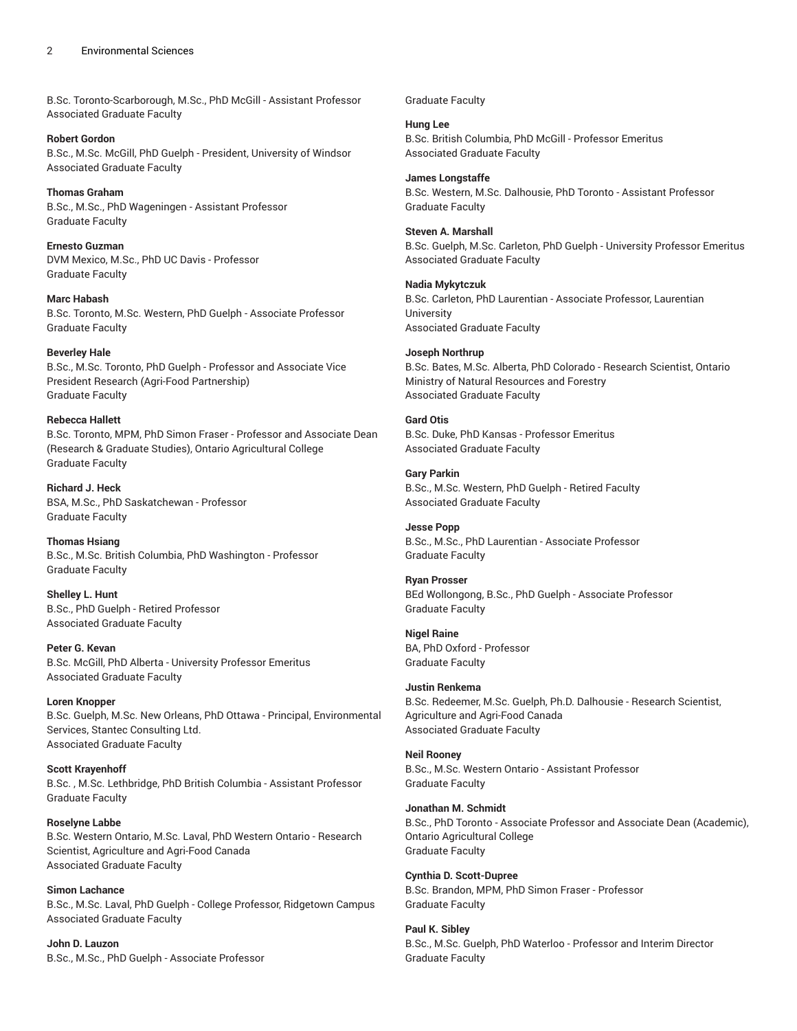### 2 Environmental Sciences

B.Sc. Toronto-Scarborough, M.Sc., PhD McGill - Assistant Professor Associated Graduate Faculty

**Robert Gordon** B.Sc., M.Sc. McGill, PhD Guelph - President, University of Windsor Associated Graduate Faculty

**Thomas Graham** B.Sc., M.Sc., PhD Wageningen - Assistant Professor Graduate Faculty

**Ernesto Guzman** DVM Mexico, M.Sc., PhD UC Davis - Professor Graduate Faculty

**Marc Habash** B.Sc. Toronto, M.Sc. Western, PhD Guelph - Associate Professor Graduate Faculty

### **Beverley Hale**

B.Sc., M.Sc. Toronto, PhD Guelph - Professor and Associate Vice President Research (Agri-Food Partnership) Graduate Faculty

#### **Rebecca Hallett**

B.Sc. Toronto, MPM, PhD Simon Fraser - Professor and Associate Dean (Research & Graduate Studies), Ontario Agricultural College Graduate Faculty

**Richard J. Heck** BSA, M.Sc., PhD Saskatchewan - Professor Graduate Faculty

**Thomas Hsiang** B.Sc., M.Sc. British Columbia, PhD Washington - Professor Graduate Faculty

**Shelley L. Hunt** B.Sc., PhD Guelph - Retired Professor Associated Graduate Faculty

**Peter G. Kevan** B.Sc. McGill, PhD Alberta - University Professor Emeritus Associated Graduate Faculty

**Loren Knopper** B.Sc. Guelph, M.Sc. New Orleans, PhD Ottawa - Principal, Environmental Services, Stantec Consulting Ltd. Associated Graduate Faculty

**Scott Krayenhoff** B.Sc. , M.Sc. Lethbridge, PhD British Columbia - Assistant Professor Graduate Faculty

**Roselyne Labbe** B.Sc. Western Ontario, M.Sc. Laval, PhD Western Ontario - Research Scientist, Agriculture and Agri-Food Canada Associated Graduate Faculty

**Simon Lachance** B.Sc., M.Sc. Laval, PhD Guelph - College Professor, Ridgetown Campus Associated Graduate Faculty

**John D. Lauzon** B.Sc., M.Sc., PhD Guelph - Associate Professor Graduate Faculty

### **Hung Lee**

B.Sc. British Columbia, PhD McGill - Professor Emeritus Associated Graduate Faculty

#### **James Longstaffe**

B.Sc. Western, M.Sc. Dalhousie, PhD Toronto - Assistant Professor Graduate Faculty

### **Steven A. Marshall**

B.Sc. Guelph, M.Sc. Carleton, PhD Guelph - University Professor Emeritus Associated Graduate Faculty

### **Nadia Mykytczuk**

B.Sc. Carleton, PhD Laurentian - Associate Professor, Laurentian University Associated Graduate Faculty

### **Joseph Northrup**

B.Sc. Bates, M.Sc. Alberta, PhD Colorado - Research Scientist, Ontario Ministry of Natural Resources and Forestry Associated Graduate Faculty

### **Gard Otis**

B.Sc. Duke, PhD Kansas - Professor Emeritus Associated Graduate Faculty

**Gary Parkin** B.Sc., M.Sc. Western, PhD Guelph - Retired Faculty Associated Graduate Faculty

**Jesse Popp** B.Sc., M.Sc., PhD Laurentian - Associate Professor Graduate Faculty

**Ryan Prosser** BEd Wollongong, B.Sc., PhD Guelph - Associate Professor Graduate Faculty

**Nigel Raine** BA, PhD Oxford - Professor Graduate Faculty

### **Justin Renkema**

B.Sc. Redeemer, M.Sc. Guelph, Ph.D. Dalhousie - Research Scientist, Agriculture and Agri-Food Canada Associated Graduate Faculty

### **Neil Rooney** B.Sc., M.Sc. Western Ontario - Assistant Professor Graduate Faculty

**Jonathan M. Schmidt** B.Sc., PhD Toronto - Associate Professor and Associate Dean (Academic), Ontario Agricultural College Graduate Faculty

**Cynthia D. Scott-Dupree** B.Sc. Brandon, MPM, PhD Simon Fraser - Professor Graduate Faculty

**Paul K. Sibley** B.Sc., M.Sc. Guelph, PhD Waterloo - Professor and Interim Director Graduate Faculty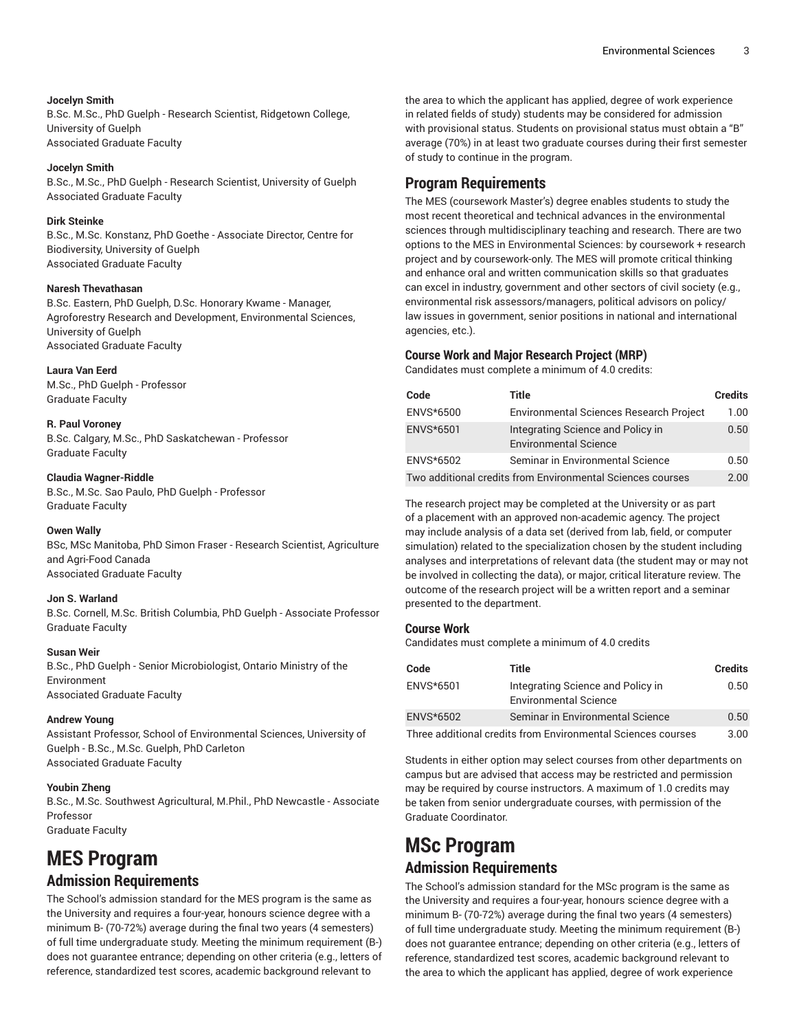### **Jocelyn Smith**

B.Sc. M.Sc., PhD Guelph - Research Scientist, Ridgetown College, University of Guelph Associated Graduate Faculty

### **Jocelyn Smith**

B.Sc., M.Sc., PhD Guelph - Research Scientist, University of Guelph Associated Graduate Faculty

### **Dirk Steinke**

B.Sc., M.Sc. Konstanz, PhD Goethe - Associate Director, Centre for Biodiversity, University of Guelph Associated Graduate Faculty

### **Naresh Thevathasan**

B.Sc. Eastern, PhD Guelph, D.Sc. Honorary Kwame - Manager, Agroforestry Research and Development, Environmental Sciences, University of Guelph Associated Graduate Faculty

### **Laura Van Eerd**

M.Sc., PhD Guelph - Professor Graduate Faculty

### **R. Paul Voroney**

B.Sc. Calgary, M.Sc., PhD Saskatchewan - Professor Graduate Faculty

### **Claudia Wagner-Riddle**

B.Sc., M.Sc. Sao Paulo, PhD Guelph - Professor Graduate Faculty

### **Owen Wally**

BSc, MSc Manitoba, PhD Simon Fraser - Research Scientist, Agriculture and Agri-Food Canada Associated Graduate Faculty

### **Jon S. Warland**

B.Sc. Cornell, M.Sc. British Columbia, PhD Guelph - Associate Professor Graduate Faculty

### **Susan Weir**

B.Sc., PhD Guelph - Senior Microbiologist, Ontario Ministry of the Environment Associated Graduate Faculty

### **Andrew Young**

Assistant Professor, School of Environmental Sciences, University of Guelph - B.Sc., M.Sc. Guelph, PhD Carleton Associated Graduate Faculty

### **Youbin Zheng**

B.Sc., M.Sc. Southwest Agricultural, M.Phil., PhD Newcastle - Associate Professor Graduate Faculty

## **MES Program Admission Requirements**

The School's admission standard for the MES program is the same as the University and requires a four-year, honours science degree with a minimum B- (70-72%) average during the final two years (4 semesters) of full time undergraduate study. Meeting the minimum requirement (B-) does not guarantee entrance; depending on other criteria (e.g., letters of reference, standardized test scores, academic background relevant to

the area to which the applicant has applied, degree of work experience in related fields of study) students may be considered for admission with provisional status. Students on provisional status must obtain a "B" average (70%) in at least two graduate courses during their first semester of study to continue in the program.

### **Program Requirements**

The MES (coursework Master's) degree enables students to study the most recent theoretical and technical advances in the environmental sciences through multidisciplinary teaching and research. There are two options to the MES in Environmental Sciences: by coursework + research project and by coursework-only. The MES will promote critical thinking and enhance oral and written communication skills so that graduates can excel in industry, government and other sectors of civil society (e.g., environmental risk assessors/managers, political advisors on policy/ law issues in government, senior positions in national and international agencies, etc.).

### **Course Work and Major Research Project (MRP)**

Candidates must complete a minimum of 4.0 credits:

| Code                                                       | Title                                                             | <b>Credits</b> |
|------------------------------------------------------------|-------------------------------------------------------------------|----------------|
| ENVS*6500                                                  | <b>Environmental Sciences Research Project</b>                    | 1.00           |
| ENVS*6501                                                  | Integrating Science and Policy in<br><b>Environmental Science</b> | 0.50           |
| ENVS*6502                                                  | Seminar in Environmental Science                                  | 0.50           |
| Two additional credits from Environmental Sciences courses |                                                                   |                |

The research project may be completed at the University or as part of a placement with an approved non-academic agency. The project may include analysis of a data set (derived from lab, field, or computer simulation) related to the specialization chosen by the student including analyses and interpretations of relevant data (the student may or may not be involved in collecting the data), or major, critical literature review. The outcome of the research project will be a written report and a seminar presented to the department.

### **Course Work**

Candidates must complete a minimum of 4.0 credits

| Code                                                         | Title                                                             | <b>Credits</b> |
|--------------------------------------------------------------|-------------------------------------------------------------------|----------------|
| ENVS*6501                                                    | Integrating Science and Policy in<br><b>Environmental Science</b> | 0.50           |
| ENVS*6502                                                    | Seminar in Environmental Science                                  | 0.50           |
| Three additional credits from Environmental Sciences courses |                                                                   |                |

Students in either option may select courses from other departments on campus but are advised that access may be restricted and permission may be required by course instructors. A maximum of 1.0 credits may be taken from senior undergraduate courses, with permission of the Graduate Coordinator.

## **MSc Program Admission Requirements**

The School's admission standard for the MSc program is the same as the University and requires a four-year, honours science degree with a minimum B- (70-72%) average during the final two years (4 semesters) of full time undergraduate study. Meeting the minimum requirement (B-) does not guarantee entrance; depending on other criteria (e.g., letters of reference, standardized test scores, academic background relevant to the area to which the applicant has applied, degree of work experience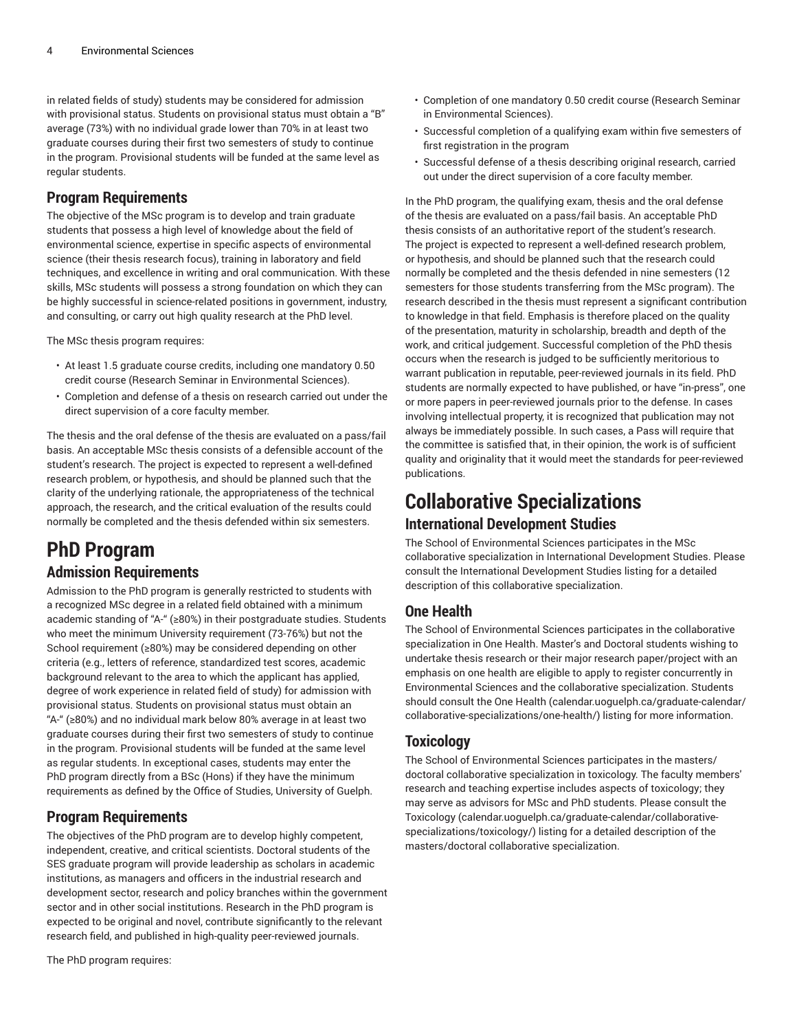in related fields of study) students may be considered for admission with provisional status. Students on provisional status must obtain a "B" average (73%) with no individual grade lower than 70% in at least two graduate courses during their first two semesters of study to continue in the program. Provisional students will be funded at the same level as regular students.

### **Program Requirements**

The objective of the MSc program is to develop and train graduate students that possess a high level of knowledge about the field of environmental science, expertise in specific aspects of environmental science (their thesis research focus), training in laboratory and field techniques, and excellence in writing and oral communication. With these skills, MSc students will possess a strong foundation on which they can be highly successful in science-related positions in government, industry, and consulting, or carry out high quality research at the PhD level.

The MSc thesis program requires:

- At least 1.5 graduate course credits, including one mandatory 0.50 credit course (Research Seminar in Environmental Sciences).
- Completion and defense of a thesis on research carried out under the direct supervision of a core faculty member.

The thesis and the oral defense of the thesis are evaluated on a pass/fail basis. An acceptable MSc thesis consists of a defensible account of the student's research. The project is expected to represent a well-defined research problem, or hypothesis, and should be planned such that the clarity of the underlying rationale, the appropriateness of the technical approach, the research, and the critical evaluation of the results could normally be completed and the thesis defended within six semesters.

## **PhD Program**

### **Admission Requirements**

Admission to the PhD program is generally restricted to students with a recognized MSc degree in a related field obtained with a minimum academic standing of "A-" (≥80%) in their postgraduate studies. Students who meet the minimum University requirement (73-76%) but not the School requirement (≥80%) may be considered depending on other criteria (e.g., letters of reference, standardized test scores, academic background relevant to the area to which the applicant has applied, degree of work experience in related field of study) for admission with provisional status. Students on provisional status must obtain an "A-" (≥80%) and no individual mark below 80% average in at least two graduate courses during their first two semesters of study to continue in the program. Provisional students will be funded at the same level as regular students. In exceptional cases, students may enter the PhD program directly from a BSc (Hons) if they have the minimum requirements as defined by the Office of Studies, University of Guelph.

### **Program Requirements**

The objectives of the PhD program are to develop highly competent, independent, creative, and critical scientists. Doctoral students of the SES graduate program will provide leadership as scholars in academic institutions, as managers and officers in the industrial research and development sector, research and policy branches within the government sector and in other social institutions. Research in the PhD program is expected to be original and novel, contribute significantly to the relevant research field, and published in high-quality peer-reviewed journals.

The PhD program requires:

- Completion of one mandatory 0.50 credit course (Research Seminar in Environmental Sciences).
- Successful completion of a qualifying exam within five semesters of first registration in the program
- Successful defense of a thesis describing original research, carried out under the direct supervision of a core faculty member.

In the PhD program, the qualifying exam, thesis and the oral defense of the thesis are evaluated on a pass/fail basis. An acceptable PhD thesis consists of an authoritative report of the student's research. The project is expected to represent a well-defined research problem, or hypothesis, and should be planned such that the research could normally be completed and the thesis defended in nine semesters (12 semesters for those students transferring from the MSc program). The research described in the thesis must represent a significant contribution to knowledge in that field. Emphasis is therefore placed on the quality of the presentation, maturity in scholarship, breadth and depth of the work, and critical judgement. Successful completion of the PhD thesis occurs when the research is judged to be sufficiently meritorious to warrant publication in reputable, peer-reviewed journals in its field. PhD students are normally expected to have published, or have "in-press", one or more papers in peer-reviewed journals prior to the defense. In cases involving intellectual property, it is recognized that publication may not always be immediately possible. In such cases, a Pass will require that the committee is satisfied that, in their opinion, the work is of sufficient quality and originality that it would meet the standards for peer-reviewed publications.

## **Collaborative Specializations International Development Studies**

The School of Environmental Sciences participates in the MSc collaborative specialization in International Development Studies. Please consult the International Development Studies listing for a detailed description of this collaborative specialization.

### **One Health**

The School of Environmental Sciences participates in the collaborative specialization in One Health. Master's and Doctoral students wishing to undertake thesis research or their major research paper/project with an emphasis on one health are eligible to apply to register concurrently in Environmental Sciences and the collaborative specialization. Students should consult the [One Health]([t�v��I����)(=���H��V(9�E�) ([calendar.uoguelph.ca/graduate-calendar/]([t�v��I����)(=���H��V(9�E�) [collaborative-specializations/one-health/\)]([t�v��I����)(=���H��V(9�E�) listing for more information.

### **Toxicology**

The School of Environmental Sciences participates in the masters/ doctoral collaborative specialization in toxicology. The faculty members' research and teaching expertise includes aspects of toxicology; they may serve as advisors for MSc and PhD students. Please consult the [Toxicology](�x?=�P>l�îw���qHˌ��j(���t��D�U�R� ��������F��m�q��,�>���y�4p�Fqֿ���) ([calendar.uoguelph.ca/graduate-calendar/collaborative](�x?=�P>l�îw���qHˌ��j(���t��D�U�R� ��������F��m�q��,�>���y�4p�Fqֿ���)[specializations/toxicology/](�x?=�P>l�îw���qHˌ��j(���t��D�U�R� ��������F��m�q��,�>���y�4p�Fqֿ���)) listing for a detailed description of the masters/doctoral collaborative specialization.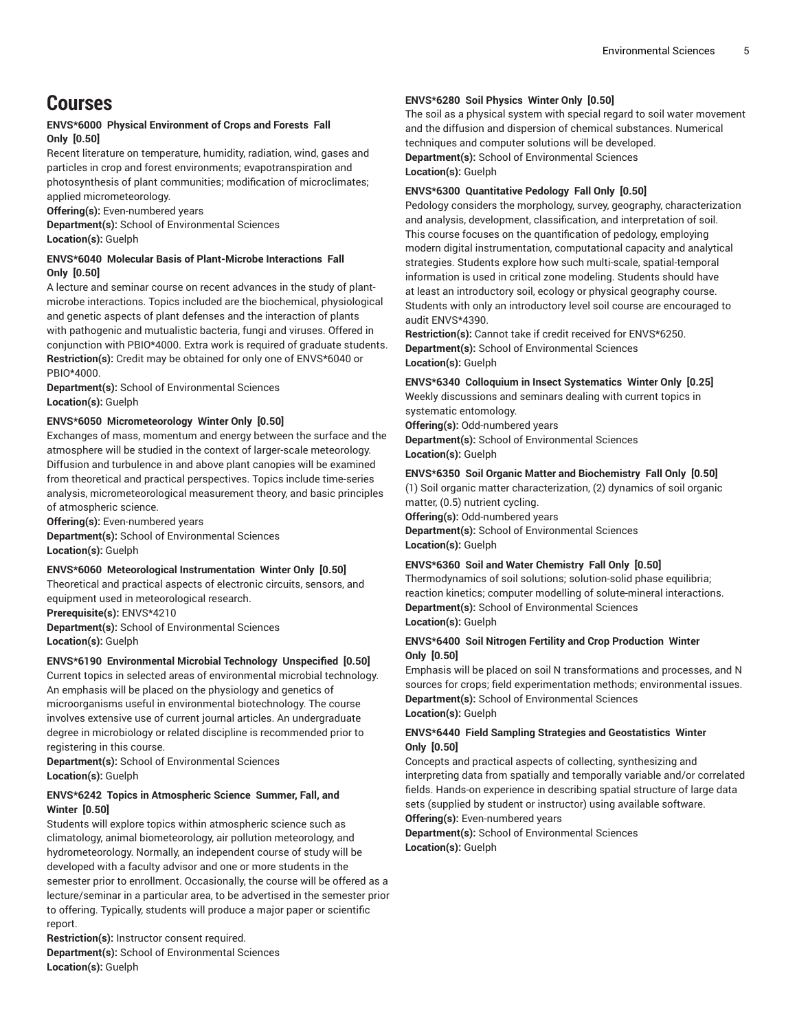## **Courses**

### **ENVS\*6000 Physical Environment of Crops and Forests Fall Only [0.50]**

Recent literature on temperature, humidity, radiation, wind, gases and particles in crop and forest environments; evapotranspiration and photosynthesis of plant communities; modification of microclimates; applied micrometeorology.

**Offering(s):** Even-numbered years

**Department(s):** School of Environmental Sciences **Location(s):** Guelph

### **ENVS\*6040 Molecular Basis of Plant-Microbe Interactions Fall Only [0.50]**

A lecture and seminar course on recent advances in the study of plantmicrobe interactions. Topics included are the biochemical, physiological and genetic aspects of plant defenses and the interaction of plants with pathogenic and mutualistic bacteria, fungi and viruses. Offered in conjunction with PBIO\*4000. Extra work is required of graduate students. **Restriction(s):** Credit may be obtained for only one of ENVS\*6040 or PBIO\*4000.

**Department(s):** School of Environmental Sciences **Location(s):** Guelph

### **ENVS\*6050 Micrometeorology Winter Only [0.50]**

Exchanges of mass, momentum and energy between the surface and the atmosphere will be studied in the context of larger-scale meteorology. Diffusion and turbulence in and above plant canopies will be examined from theoretical and practical perspectives. Topics include time-series analysis, micrometeorological measurement theory, and basic principles of atmospheric science.

**Offering(s):** Even-numbered years **Department(s):** School of Environmental Sciences **Location(s):** Guelph

### **ENVS\*6060 Meteorological Instrumentation Winter Only [0.50]**

Theoretical and practical aspects of electronic circuits, sensors, and equipment used in meteorological research. **Prerequisite(s):** ENVS\*4210

**Department(s):** School of Environmental Sciences **Location(s):** Guelph

### **ENVS\*6190 Environmental Microbial Technology Unspecified [0.50]**

Current topics in selected areas of environmental microbial technology. An emphasis will be placed on the physiology and genetics of microorganisms useful in environmental biotechnology. The course involves extensive use of current journal articles. An undergraduate degree in microbiology or related discipline is recommended prior to registering in this course.

**Department(s):** School of Environmental Sciences **Location(s):** Guelph

### **ENVS\*6242 Topics in Atmospheric Science Summer, Fall, and Winter [0.50]**

Students will explore topics within atmospheric science such as climatology, animal biometeorology, air pollution meteorology, and hydrometeorology. Normally, an independent course of study will be developed with a faculty advisor and one or more students in the semester prior to enrollment. Occasionally, the course will be offered as a lecture/seminar in a particular area, to be advertised in the semester prior to offering. Typically, students will produce a major paper or scientific report.

**Restriction(s):** Instructor consent required. **Department(s):** School of Environmental Sciences **Location(s):** Guelph

### **ENVS\*6280 Soil Physics Winter Only [0.50]**

The soil as a physical system with special regard to soil water movement and the diffusion and dispersion of chemical substances. Numerical techniques and computer solutions will be developed. **Department(s):** School of Environmental Sciences

**Location(s):** Guelph

### **ENVS\*6300 Quantitative Pedology Fall Only [0.50]**

Pedology considers the morphology, survey, geography, characterization and analysis, development, classification, and interpretation of soil. This course focuses on the quantification of pedology, employing modern digital instrumentation, computational capacity and analytical strategies. Students explore how such multi-scale, spatial-temporal information is used in critical zone modeling. Students should have at least an introductory soil, ecology or physical geography course. Students with only an introductory level soil course are encouraged to audit ENVS\*4390.

**Restriction(s):** Cannot take if credit received for ENVS\*6250. **Department(s):** School of Environmental Sciences **Location(s):** Guelph

### **ENVS\*6340 Colloquium in Insect Systematics Winter Only [0.25]**

Weekly discussions and seminars dealing with current topics in systematic entomology.

**Offering(s):** Odd-numbered years **Department(s):** School of Environmental Sciences **Location(s):** Guelph

### **ENVS\*6350 Soil Organic Matter and Biochemistry Fall Only [0.50]**

(1) Soil organic matter characterization, (2) dynamics of soil organic matter, (0.5) nutrient cycling.

**Offering(s):** Odd-numbered years

**Department(s):** School of Environmental Sciences **Location(s):** Guelph

### **ENVS\*6360 Soil and Water Chemistry Fall Only [0.50]**

Thermodynamics of soil solutions; solution-solid phase equilibria; reaction kinetics; computer modelling of solute-mineral interactions. **Department(s):** School of Environmental Sciences **Location(s):** Guelph

### **ENVS\*6400 Soil Nitrogen Fertility and Crop Production Winter Only [0.50]**

Emphasis will be placed on soil N transformations and processes, and N sources for crops; field experimentation methods; environmental issues. **Department(s):** School of Environmental Sciences **Location(s):** Guelph

### **ENVS\*6440 Field Sampling Strategies and Geostatistics Winter Only [0.50]**

Concepts and practical aspects of collecting, synthesizing and interpreting data from spatially and temporally variable and/or correlated fields. Hands-on experience in describing spatial structure of large data sets (supplied by student or instructor) using available software. **Offering(s):** Even-numbered years

**Department(s):** School of Environmental Sciences **Location(s):** Guelph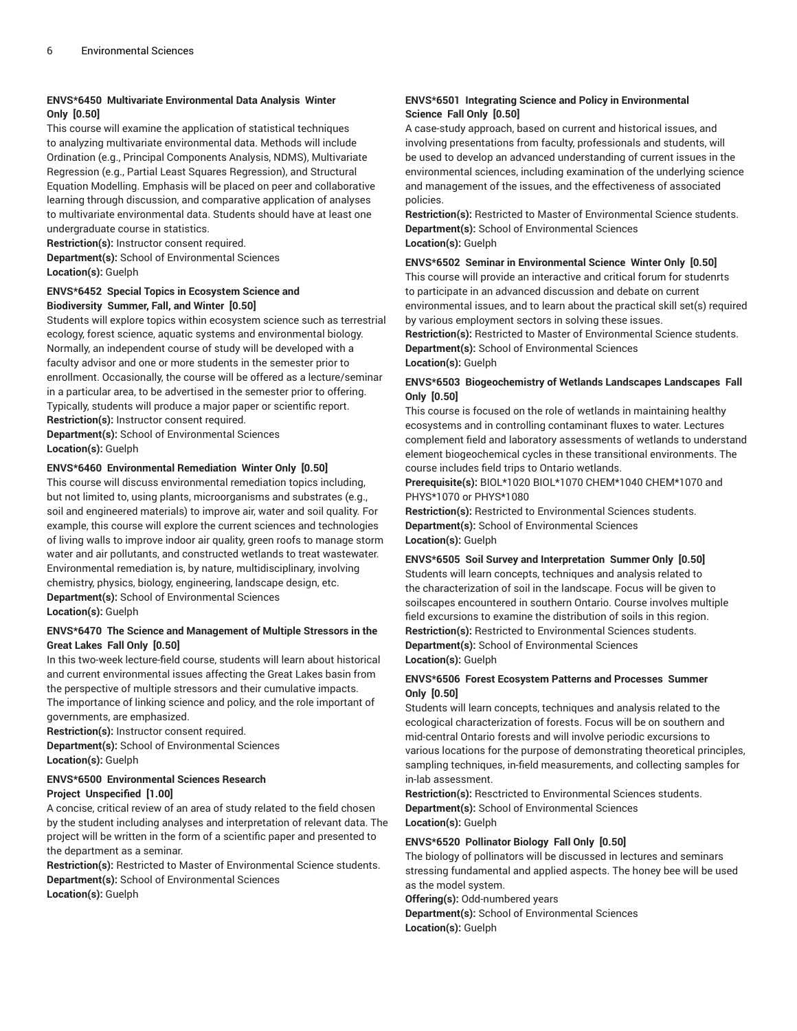### **ENVS\*6450 Multivariate Environmental Data Analysis Winter Only [0.50]**

This course will examine the application of statistical techniques to analyzing multivariate environmental data. Methods will include Ordination (e.g., Principal Components Analysis, NDMS), Multivariate Regression (e.g., Partial Least Squares Regression), and Structural Equation Modelling. Emphasis will be placed on peer and collaborative learning through discussion, and comparative application of analyses to multivariate environmental data. Students should have at least one undergraduate course in statistics.

**Restriction(s):** Instructor consent required.

**Department(s):** School of Environmental Sciences **Location(s):** Guelph

### **ENVS\*6452 Special Topics in Ecosystem Science and Biodiversity Summer, Fall, and Winter [0.50]**

Students will explore topics within ecosystem science such as terrestrial ecology, forest science, aquatic systems and environmental biology. Normally, an independent course of study will be developed with a faculty advisor and one or more students in the semester prior to enrollment. Occasionally, the course will be offered as a lecture/seminar in a particular area, to be advertised in the semester prior to offering. Typically, students will produce a major paper or scientific report. **Restriction(s):** Instructor consent required.

**Department(s):** School of Environmental Sciences **Location(s):** Guelph

### **ENVS\*6460 Environmental Remediation Winter Only [0.50]**

This course will discuss environmental remediation topics including, but not limited to, using plants, microorganisms and substrates (e.g., soil and engineered materials) to improve air, water and soil quality. For example, this course will explore the current sciences and technologies of living walls to improve indoor air quality, green roofs to manage storm water and air pollutants, and constructed wetlands to treat wastewater. Environmental remediation is, by nature, multidisciplinary, involving chemistry, physics, biology, engineering, landscape design, etc. **Department(s):** School of Environmental Sciences **Location(s):** Guelph

### **ENVS\*6470 The Science and Management of Multiple Stressors in the Great Lakes Fall Only [0.50]**

In this two-week lecture-field course, students will learn about historical and current environmental issues affecting the Great Lakes basin from the perspective of multiple stressors and their cumulative impacts. The importance of linking science and policy, and the role important of governments, are emphasized.

**Restriction(s):** Instructor consent required.

**Department(s):** School of Environmental Sciences **Location(s):** Guelph

### **ENVS\*6500 Environmental Sciences Research Project Unspecified [1.00]**

A concise, critical review of an area of study related to the field chosen by the student including analyses and interpretation of relevant data. The project will be written in the form of a scientific paper and presented to the department as a seminar.

**Restriction(s):** Restricted to Master of Environmental Science students. **Department(s):** School of Environmental Sciences **Location(s):** Guelph

### **ENVS\*6501 Integrating Science and Policy in Environmental Science Fall Only [0.50]**

A case-study approach, based on current and historical issues, and involving presentations from faculty, professionals and students, will be used to develop an advanced understanding of current issues in the environmental sciences, including examination of the underlying science and management of the issues, and the effectiveness of associated policies.

**Restriction(s):** Restricted to Master of Environmental Science students. **Department(s):** School of Environmental Sciences **Location(s):** Guelph

### **ENVS\*6502 Seminar in Environmental Science Winter Only [0.50]**

This course will provide an interactive and critical forum for studenrts to participate in an advanced discussion and debate on current environmental issues, and to learn about the practical skill set(s) required by various employment sectors in solving these issues. **Restriction(s):** Restricted to Master of Environmental Science students. **Department(s):** School of Environmental Sciences **Location(s):** Guelph

### **ENVS\*6503 Biogeochemistry of Wetlands Landscapes Landscapes Fall Only [0.50]**

This course is focused on the role of wetlands in maintaining healthy ecosystems and in controlling contaminant fluxes to water. Lectures complement field and laboratory assessments of wetlands to understand element biogeochemical cycles in these transitional environments. The course includes field trips to Ontario wetlands.

**Prerequisite(s):** BIOL\*1020 BIOL\*1070 CHEM\*1040 CHEM\*1070 and PHYS\*1070 or PHYS\*1080

**Restriction(s):** Restricted to Environmental Sciences students. **Department(s):** School of Environmental Sciences **Location(s):** Guelph

### **ENVS\*6505 Soil Survey and Interpretation Summer Only [0.50]**

Students will learn concepts, techniques and analysis related to the characterization of soil in the landscape. Focus will be given to soilscapes encountered in southern Ontario. Course involves multiple field excursions to examine the distribution of soils in this region. **Restriction(s):** Restricted to Environmental Sciences students. **Department(s):** School of Environmental Sciences **Location(s):** Guelph

### **ENVS\*6506 Forest Ecosystem Patterns and Processes Summer Only [0.50]**

Students will learn concepts, techniques and analysis related to the ecological characterization of forests. Focus will be on southern and mid-central Ontario forests and will involve periodic excursions to various locations for the purpose of demonstrating theoretical principles, sampling techniques, in-field measurements, and collecting samples for in-lab assessment.

**Restriction(s):** Resctricted to Environmental Sciences students. **Department(s):** School of Environmental Sciences **Location(s):** Guelph

### **ENVS\*6520 Pollinator Biology Fall Only [0.50]**

The biology of pollinators will be discussed in lectures and seminars stressing fundamental and applied aspects. The honey bee will be used as the model system.

**Offering(s):** Odd-numbered years

**Department(s):** School of Environmental Sciences **Location(s):** Guelph